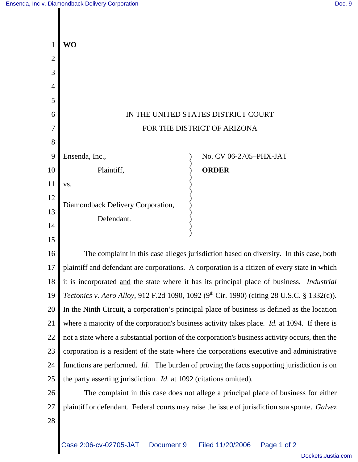